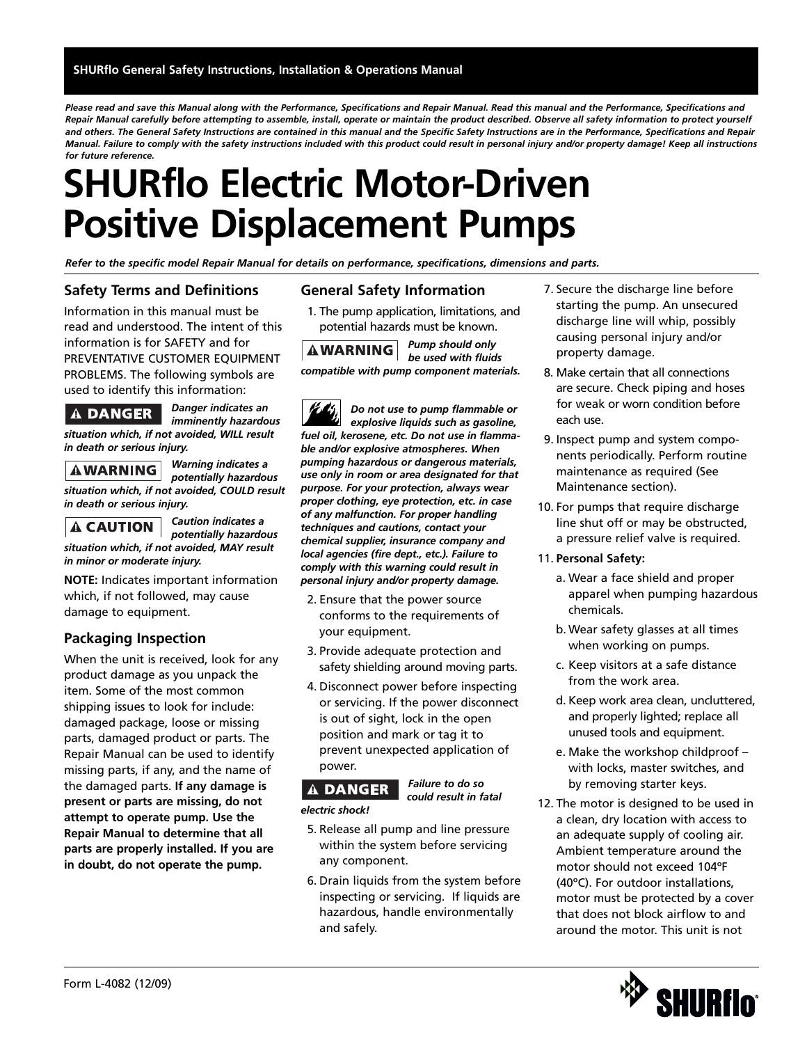*Please read and save this Manual along with the Performance, Specifications and Repair Manual. Read this manual and the Performance, Specifications and Repair Manual carefully before attempting to assemble, install, operate or maintain the product described. Observe all safety information to protect yourself and others. The General Safety Instructions are contained in this manual and the Specific Safety Instructions are in the Performance, Specifications and Repair Manual. Failure to comply with the safety instructions included with this product could result in personal injury and/or property damage! Keep all instructions for future reference.*

### **SHURflo Electric Motor-Driven Positive Displacement Pumps**

*Refer to the specific model Repair Manual for details on performance, specifications, dimensions and parts.*

### **Safety Terms and Definitions**

Information in this manual must be read and understood. The intent of this information is for SAFETY and for PREVENTATIVE CUSTOMER EQUIPMENT PROBLEMS. The following symbols are used to identify this information:

### **A DANGER**

*imminently hazardous situation which, if not avoided, WILL result in death or serious injury.*

*Warning indicates a*  **AWARNING** *potentially hazardous situation which, if not avoided, COULD result in death or serious injury.*

### **A CAUTION**

*Caution indicates a potentially hazardous*

*Danger indicates an* 

#### *situation which, if not avoided, MAY result in minor or moderate injury.*

**NOTE:** Indicates important information which, if not followed, may cause damage to equipment.

### **Packaging Inspection**

When the unit is received, look for any product damage as you unpack the item. Some of the most common shipping issues to look for include: damaged package, loose or missing parts, damaged product or parts. The Repair Manual can be used to identify missing parts, if any, and the name of the damaged parts. **If any damage is present or parts are missing, do not attempt to operate pump. Use the Repair Manual to determine that all parts are properly installed. If you are in doubt, do not operate the pump.**

### **General Safety Information**

1. The pump application, limitations, and potential hazards must be known.

*Pump should only be used with fluids compatible with pump component materials.*

*Do not use to pump flammable or explosive liquids such as gasoline, fuel oil, kerosene, etc. Do not use in flammable and/or explosive atmospheres. When pumping hazardous or dangerous materials, use only in room or area designated for that purpose. For your protection, always wear proper clothing, eye protection, etc. in case of any malfunction. For proper handling techniques and cautions, contact your chemical supplier, insurance company and local agencies (fire dept., etc.). Failure to comply with this warning could result in personal injury and/or property damage.*

- 2. Ensure that the power source conforms to the requirements of your equipment.
- 3. Provide adequate protection and safety shielding around moving parts.
- 4. Disconnect power before inspecting or servicing. If the power disconnect is out of sight, lock in the open position and mark or tag it to prevent unexpected application of power.



*Failure to do so could result in fatal*

- 5. Release all pump and line pressure within the system before servicing any component.
- 6. Drain liquids from the system before inspecting or servicing. If liquids are hazardous, handle environmentally and safely.
- 7. Secure the discharge line before starting the pump. An unsecured discharge line will whip, possibly causing personal injury and/or property damage.
- 8. Make certain that all connections are secure. Check piping and hoses for weak or worn condition before each use.
- 9. Inspect pump and system components periodically. Perform routine maintenance as required (See Maintenance section).
- 10. For pumps that require discharge line shut off or may be obstructed, a pressure relief valve is required.
- 11. **Personal Safety:**
	- a. Wear a face shield and proper apparel when pumping hazardous chemicals.
	- b. Wear safety glasses at all times when working on pumps.
	- c. Keep visitors at a safe distance from the work area.
	- d. Keep work area clean, uncluttered, and properly lighted; replace all unused tools and equipment.
	- e. Make the workshop childproof with locks, master switches, and by removing starter keys.
- 12. The motor is designed to be used in a clean, dry location with access to an adequate supply of cooling air. Ambient temperature around the motor should not exceed 104ºF (40ºC). For outdoor installations, motor must be protected by a cover that does not block airflow to and around the motor. This unit is not

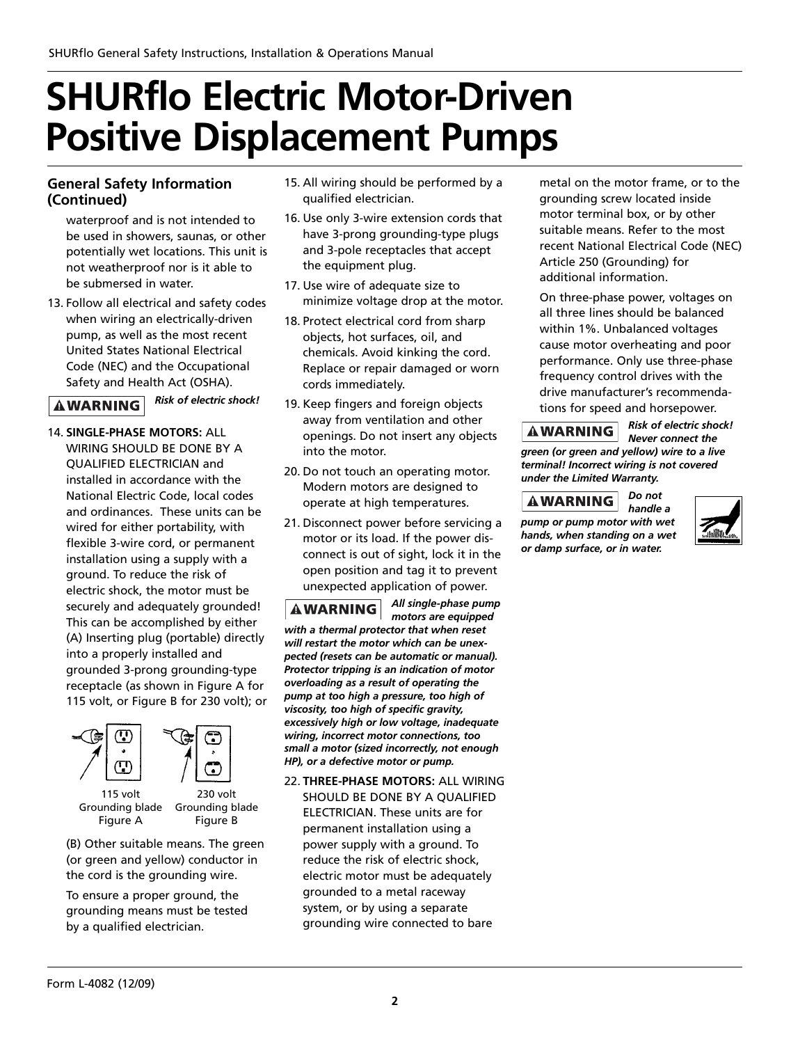### **General Safety Information (Continued)**

waterproof and is not intended to be used in showers, saunas, or other potentially wet locations. This unit is not weatherproof nor is it able to be submersed in water.

13. Follow all electrical and safety codes when wiring an electrically-driven pump, as well as the most recent United States National Electrical Code (NEC) and the Occupational Safety and Health Act (OSHA).

#### *Risk of electric shock!* **AWARNING**

14. **SINGLE-PHASE MOTORS:** ALL WIRING SHOULD BE DONE BY A QUALIFIED ELECTRICIAN and installed in accordance with the National Electric Code, local codes and ordinances. These units can be wired for either portability, with flexible 3-wire cord, or permanent installation using a supply with a ground. To reduce the risk of electric shock, the motor must be securely and adequately grounded! This can be accomplished by either (A) Inserting plug (portable) directly into a properly installed and grounded 3-prong grounding-type receptacle (as shown in Figure A for 115 volt, or Figure B for 230 volt); or



(B) Other suitable means. The green (or green and yellow) conductor in the cord is the grounding wire.

To ensure a proper ground, the grounding means must be tested by a qualified electrician.

- 15. All wiring should be performed by a qualified electrician.
- 16. Use only 3-wire extension cords that have 3-prong grounding-type plugs and 3-pole receptacles that accept the equipment plug.
- 17. Use wire of adequate size to minimize voltage drop at the motor.
- 18. Protect electrical cord from sharp objects, hot surfaces, oil, and chemicals. Avoid kinking the cord. Replace or repair damaged or worn cords immediately.
- 19. Keep fingers and foreign objects away from ventilation and other openings. Do not insert any objects into the motor.
- 20. Do not touch an operating motor. Modern motors are designed to operate at high temperatures.
- 21. Disconnect power before servicing a motor or its load. If the power disconnect is out of sight, lock it in the open position and tag it to prevent unexpected application of power.

*All single-phase pump*  **AWARNING** *motors are equipped with a thermal protector that when reset will restart the motor which can be unexpected (resets can be automatic or manual). Protector tripping is an indication of motor overloading as a result of operating the pump at too high a pressure, too high of viscosity, too high of specific gravity, excessively high or low voltage, inadequate wiring, incorrect motor connections, too small a motor (sized incorrectly, not enough HP), or a defective motor or pump.*

22. **THREE-PHASE MOTORS:** ALL WIRING SHOULD BE DONE BY A QUALIFIED ELECTRICIAN. These units are for permanent installation using a power supply with a ground. To reduce the risk of electric shock, electric motor must be adequately grounded to a metal raceway system, or by using a separate grounding wire connected to bare

metal on the motor frame, or to the grounding screw located inside motor terminal box, or by other suitable means. Refer to the most recent National Electrical Code (NEC) Article 250 (Grounding) for additional information.

On three-phase power, voltages on all three lines should be balanced within 1%. Unbalanced voltages cause motor overheating and poor performance. Only use three-phase frequency control drives with the drive manufacturer's recommendations for speed and horsepower.

### **AWARNING**

*Risk of electric shock! Never connect the*

*green (or green and yellow) wire to a live terminal! Incorrect wiring is not covered under the Limited Warranty.*

#### *Do not*  **AWARNING** *handle a pump or pump motor with wet hands, when standing on a wet or damp surface, or in water.*

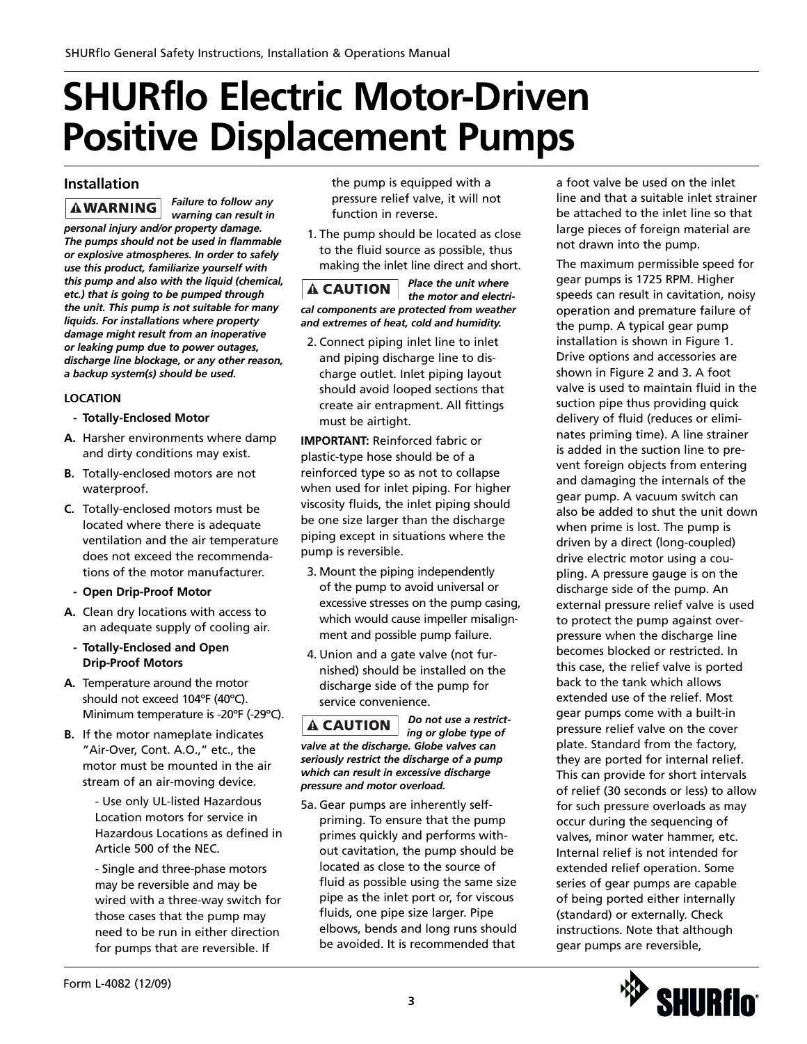### **Installation**

*Failure to follow any*  **AWARNING** *warning can result in personal injury and/or property damage. The pumps should not be used in flammable or explosive atmospheres. In order to safely use this product, familiarize yourself with this pump and also with the liquid (chemical, etc.) that is going to be pumped through the unit. This pump is not suitable for many liquids. For installations where property damage might result from an inoperative or leaking pump due to power outages, discharge line blockage, or any other reason, a backup system(s) should be used.*

### **LOCATION**

- **Totally-Enclosed Motor**
- **A.** Harsher environments where damp and dirty conditions may exist.
- **B.** Totally-enclosed motors are not waterproof.
- **C.** Totally-enclosed motors must be located where there is adequate ventilation and the air temperature does not exceed the recommendations of the motor manufacturer.
- **Open Drip-Proof Motor**
- **A.** Clean dry locations with access to an adequate supply of cooling air.
- **Totally-Enclosed and Open Drip-Proof Motors**
- **A.** Temperature around the motor should not exceed 104ºF (40ºC). Minimum temperature is -20ºF (-29ºC).
- **B.** If the motor nameplate indicates "Air-Over, Cont. A.O.," etc., the motor must be mounted in the air stream of an air-moving device.

- Use only UL-listed Hazardous Location motors for service in Hazardous Locations as defined in Article 500 of the NEC.

- Single and three-phase motors may be reversible and may be wired with a three-way switch for those cases that the pump may need to be run in either direction for pumps that are reversible. If

the pump is equipped with a pressure relief valve, it will not function in reverse.

1. The pump should be located as close to the fluid source as possible, thus making the inlet line direct and short.

*Place the unit where*   $\mathbf A$  CAUTION *the motor and electrical components are protected from weather and extremes of heat, cold and humidity.*

2. Connect piping inlet line to inlet and piping discharge line to discharge outlet. Inlet piping layout should avoid looped sections that create air entrapment. All fittings must be airtight.

**IMPORTANT:** Reinforced fabric or plastic-type hose should be of a reinforced type so as not to collapse when used for inlet piping. For higher viscosity fluids, the inlet piping should be one size larger than the discharge piping except in situations where the pump is reversible.

- 3. Mount the piping independently of the pump to avoid universal or excessive stresses on the pump casing, which would cause impeller misalignment and possible pump failure.
- 4. Union and a gate valve (not furnished) should be installed on the discharge side of the pump for service convenience.

*Do not use a restrict-* $\mathbf{\mathbf{\Delta}}$  CAUTION *ing or globe type of valve at the discharge. Globe valves can seriously restrict the discharge of a pump which can result in excessive discharge pressure and motor overload.*

5a. Gear pumps are inherently selfpriming. To ensure that the pump primes quickly and performs without cavitation, the pump should be located as close to the source of fluid as possible using the same size pipe as the inlet port or, for viscous fluids, one pipe size larger. Pipe elbows, bends and long runs should be avoided. It is recommended that

a foot valve be used on the inlet line and that a suitable inlet strainer be attached to the inlet line so that large pieces of foreign material are not drawn into the pump.

The maximum permissible speed for gear pumps is 1725 RPM. Higher speeds can result in cavitation, noisy operation and premature failure of the pump. A typical gear pump installation is shown in Figure 1. Drive options and accessories are shown in Figure 2 and 3. A foot valve is used to maintain fluid in the suction pipe thus providing quick delivery of fluid (reduces or eliminates priming time). A line strainer is added in the suction line to prevent foreign objects from entering and damaging the internals of the gear pump. A vacuum switch can also be added to shut the unit down when prime is lost. The pump is driven by a direct (long-coupled) drive electric motor using a coupling. A pressure gauge is on the discharge side of the pump. An external pressure relief valve is used to protect the pump against overpressure when the discharge line becomes blocked or restricted. In this case, the relief valve is ported back to the tank which allows extended use of the relief. Most gear pumps come with a built-in pressure relief valve on the cover plate. Standard from the factory, they are ported for internal relief. This can provide for short intervals of relief (30 seconds or less) to allow for such pressure overloads as may occur during the sequencing of valves, minor water hammer, etc. Internal relief is not intended for extended relief operation. Some series of gear pumps are capable of being ported either internally (standard) or externally. Check instructions. Note that although gear pumps are reversible,

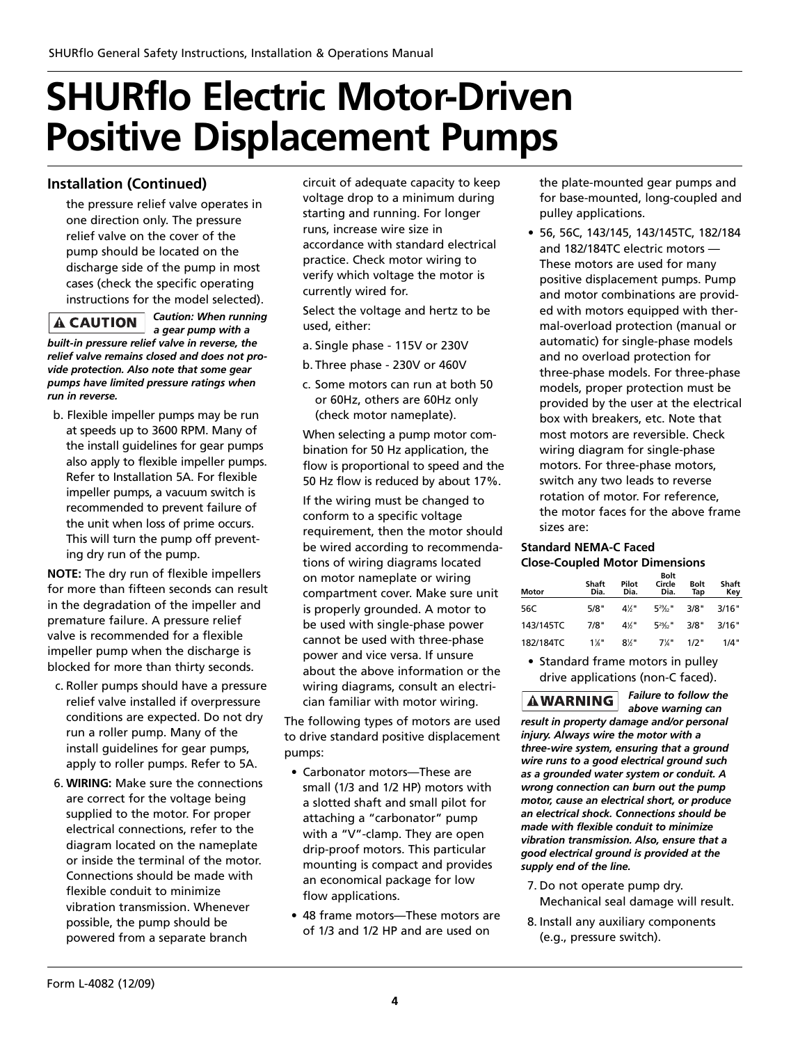### **Installation (Continued)**

the pressure relief valve operates in one direction only. The pressure relief valve on the cover of the pump should be located on the discharge side of the pump in most cases (check the specific operating instructions for the model selected).

### $\blacktriangle$  CAUTION  $\mid$

*Caution: When running a gear pump with a built-in pressure relief valve in reverse, the*

*relief valve remains closed and does not provide protection. Also note that some gear pumps have limited pressure ratings when run in reverse.*

b. Flexible impeller pumps may be run at speeds up to 3600 RPM. Many of the install guidelines for gear pumps also apply to flexible impeller pumps. Refer to Installation 5A. For flexible impeller pumps, a vacuum switch is recommended to prevent failure of the unit when loss of prime occurs. This will turn the pump off preventing dry run of the pump.

**NOTE:** The dry run of flexible impellers for more than fifteen seconds can result in the degradation of the impeller and premature failure. A pressure relief valve is recommended for a flexible impeller pump when the discharge is blocked for more than thirty seconds.

- c. Roller pumps should have a pressure relief valve installed if overpressure conditions are expected. Do not dry run a roller pump. Many of the install guidelines for gear pumps, apply to roller pumps. Refer to 5A.
- 6. **WIRING:** Make sure the connections are correct for the voltage being supplied to the motor. For proper electrical connections, refer to the diagram located on the nameplate or inside the terminal of the motor. Connections should be made with flexible conduit to minimize vibration transmission. Whenever possible, the pump should be powered from a separate branch

circuit of adequate capacity to keep voltage drop to a minimum during starting and running. For longer runs, increase wire size in accordance with standard electrical practice. Check motor wiring to verify which voltage the motor is currently wired for.

Select the voltage and hertz to be used, either:

- a. Single phase 115V or 230V
- b. Three phase 230V or 460V
- c. Some motors can run at both 50 or 60Hz, others are 60Hz only (check motor nameplate).

When selecting a pump motor combination for 50 Hz application, the flow is proportional to speed and the 50 Hz flow is reduced by about 17%.

If the wiring must be changed to conform to a specific voltage requirement, then the motor should be wired according to recommendations of wiring diagrams located on motor nameplate or wiring compartment cover. Make sure unit is properly grounded. A motor to be used with single-phase power cannot be used with three-phase power and vice versa. If unsure about the above information or the wiring diagrams, consult an electrician familiar with motor wiring.

The following types of motors are used to drive standard positive displacement pumps:

- Carbonator motors—These are small (1/3 and 1/2 HP) motors with a slotted shaft and small pilot for attaching a "carbonator" pump with a "V"-clamp. They are open drip-proof motors. This particular mounting is compact and provides an economical package for low flow applications.
- 48 frame motors—These motors are of 1/3 and 1/2 HP and are used on

the plate-mounted gear pumps and for base-mounted, long-coupled and pulley applications.

• 56, 56C, 143/145, 143/145TC, 182/184 and 182/184TC electric motors — These motors are used for many positive displacement pumps. Pump and motor combinations are provided with motors equipped with thermal-overload protection (manual or automatic) for single-phase models and no overload protection for three-phase models. For three-phase models, proper protection must be provided by the user at the electrical box with breakers, etc. Note that most motors are reversible. Check wiring diagram for single-phase motors. For three-phase motors, switch any two leads to reverse rotation of motor. For reference, the motor faces for the above frame sizes are:

### **Standard NEMA-C Faced Close-Coupled Motor Dimensions**

| Motor     | Shaft<br>Dia. | Pilot<br>Dia. | Bolt<br>Circle<br>Dia.    | Bolt<br>Tap | Shaft<br>Key |
|-----------|---------------|---------------|---------------------------|-------------|--------------|
| 56C       | 5/8"          | 4%"           | $5^{29}$ / <sub>2</sub> " | 3/8"        | 3/16"        |
| 143/145TC | 7/8"          | 4%"           | $5^{29}$ / <sub>2</sub>   | 3/8"        | 3/16"        |
| 182/184TC | $1\%$ "       | 8%"           | $7\%$ "                   | 1/2"        | 1/4"         |

• Standard frame motors in pulley drive applications (non-C faced).

*Failure to follow the* 

**AWARNING** *above warning can result in property damage and/or personal injury. Always wire the motor with a three-wire system, ensuring that a ground wire runs to a good electrical ground such as a grounded water system or conduit. A wrong connection can burn out the pump motor, cause an electrical short, or produce an electrical shock. Connections should be made with flexible conduit to minimize vibration transmission. Also, ensure that a good electrical ground is provided at the supply end of the line.* 

- 7. Do not operate pump dry. Mechanical seal damage will result.
- 8. Install any auxiliary components (e.g., pressure switch).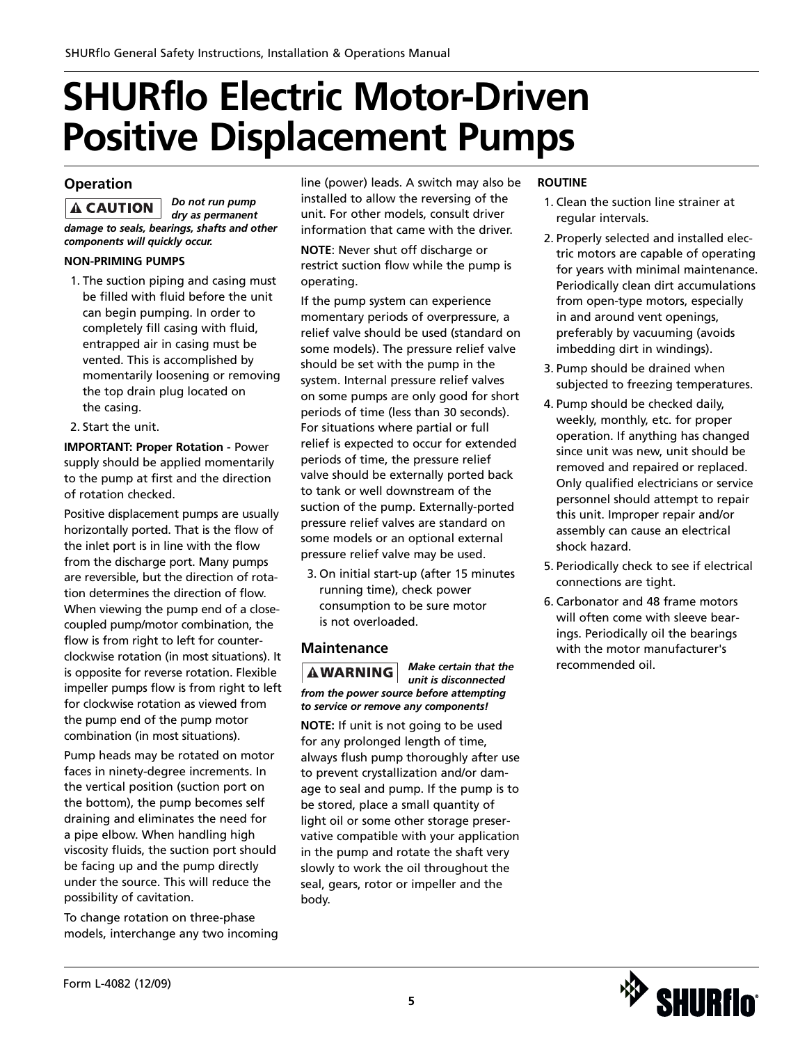### **Operation**

*Do not run pump*  **A CAUTION** *dry as permanent damage to seals, bearings, shafts and other components will quickly occur.*

### **NON-PRIMING PUMPS**

- 1. The suction piping and casing must be filled with fluid before the unit can begin pumping. In order to completely fill casing with fluid, entrapped air in casing must be vented. This is accomplished by momentarily loosening or removing the top drain plug located on the casing.
- 2. Start the unit.

**IMPORTANT: Proper Rotation -** Power supply should be applied momentarily to the pump at first and the direction of rotation checked.

Positive displacement pumps are usually horizontally ported. That is the flow of the inlet port is in line with the flow from the discharge port. Many pumps are reversible, but the direction of rotation determines the direction of flow. When viewing the pump end of a closecoupled pump/motor combination, the flow is from right to left for counterclockwise rotation (in most situations). It is opposite for reverse rotation. Flexible impeller pumps flow is from right to left for clockwise rotation as viewed from the pump end of the pump motor combination (in most situations).

Pump heads may be rotated on motor faces in ninety-degree increments. In the vertical position (suction port on the bottom), the pump becomes self draining and eliminates the need for a pipe elbow. When handling high viscosity fluids, the suction port should be facing up and the pump directly under the source. This will reduce the possibility of cavitation.

To change rotation on three-phase models, interchange any two incoming line (power) leads. A switch may also be installed to allow the reversing of the unit. For other models, consult driver information that came with the driver.

**NOTE**: Never shut off discharge or restrict suction flow while the pump is operating.

If the pump system can experience momentary periods of overpressure, a relief valve should be used (standard on some models). The pressure relief valve should be set with the pump in the system. Internal pressure relief valves on some pumps are only good for short periods of time (less than 30 seconds). For situations where partial or full relief is expected to occur for extended periods of time, the pressure relief valve should be externally ported back to tank or well downstream of the suction of the pump. Externally-ported pressure relief valves are standard on some models or an optional external pressure relief valve may be used.

3. On initial start-up (after 15 minutes running time), check power consumption to be sure motor is not overloaded.

### **Maintenance**

*Make certain that the*  **AWARNING** *unit is disconnected from the power source before attempting to service or remove any components!*

**NOTE:** If unit is not going to be used for any prolonged length of time, always flush pump thoroughly after use to prevent crystallization and/or damage to seal and pump. If the pump is to be stored, place a small quantity of light oil or some other storage preservative compatible with your application in the pump and rotate the shaft very slowly to work the oil throughout the seal, gears, rotor or impeller and the body.

### **ROUTINE**

- 1. Clean the suction line strainer at regular intervals.
- 2. Properly selected and installed electric motors are capable of operating for years with minimal maintenance. Periodically clean dirt accumulations from open-type motors, especially in and around vent openings, preferably by vacuuming (avoids imbedding dirt in windings).
- 3. Pump should be drained when subjected to freezing temperatures.
- 4. Pump should be checked daily, weekly, monthly, etc. for proper operation. If anything has changed since unit was new, unit should be removed and repaired or replaced. Only qualified electricians or service personnel should attempt to repair this unit. Improper repair and/or assembly can cause an electrical shock hazard.
- 5. Periodically check to see if electrical connections are tight.
- 6. Carbonator and 48 frame motors will often come with sleeve bearings. Periodically oil the bearings with the motor manufacturer's recommended oil.

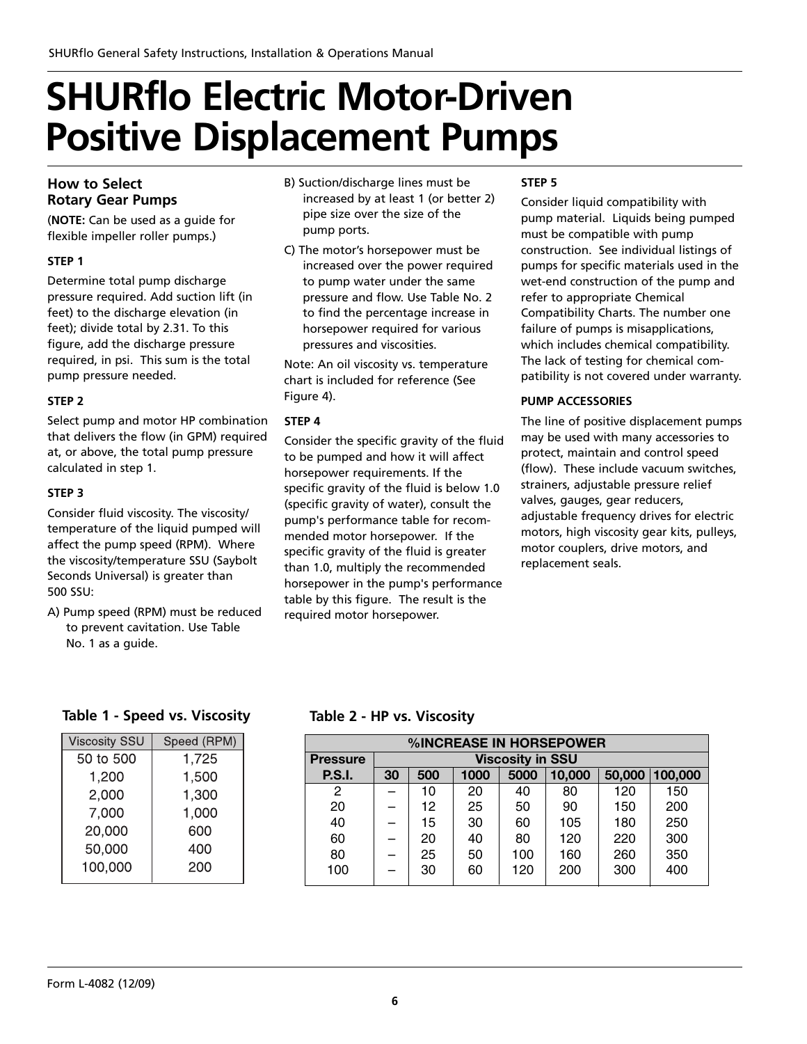### **How to Select Rotary Gear Pumps**

(**NOTE:** Can be used as a guide for flexible impeller roller pumps.)

### **STEP 1**

Determine total pump discharge pressure required. Add suction lift (in feet) to the discharge elevation (in feet); divide total by 2.31. To this figure, add the discharge pressure required, in psi. This sum is the total pump pressure needed.

### **STEP 2**

Select pump and motor HP combination that delivers the flow (in GPM) required at, or above, the total pump pressure calculated in step 1.

### **STEP 3**

Consider fluid viscosity. The viscosity/ temperature of the liquid pumped will affect the pump speed (RPM). Where the viscosity/temperature SSU (Saybolt Seconds Universal) is greater than 500 SSU:

A) Pump speed (RPM) must be reduced to prevent cavitation. Use Table No. 1 as a guide.

- B) Suction/discharge lines must be increased by at least 1 (or better 2) pipe size over the size of the pump ports.
- C) The motor's horsepower must be increased over the power required to pump water under the same pressure and flow. Use Table No. 2 to find the percentage increase in horsepower required for various pressures and viscosities.

Note: An oil viscosity vs. temperature chart is included for reference (See Figure 4).

### **STEP 4**

Consider the specific gravity of the fluid to be pumped and how it will affect horsepower requirements. If the specific gravity of the fluid is below 1.0 (specific gravity of water), consult the pump's performance table for recommended motor horsepower. If the specific gravity of the fluid is greater than 1.0, multiply the recommended horsepower in the pump's performance table by this figure. The result is the required motor horsepower.

### **STEP 5**

Consider liquid compatibility with pump material. Liquids being pumped must be compatible with pump construction. See individual listings of pumps for specific materials used in the wet-end construction of the pump and refer to appropriate Chemical Compatibility Charts. The number one failure of pumps is misapplications, which includes chemical compatibility. The lack of testing for chemical compatibility is not covered under warranty.

### **PUMP ACCESSORIES**

The line of positive displacement pumps may be used with many accessories to protect, maintain and control speed (flow). These include vacuum switches, strainers, adjustable pressure relief valves, gauges, gear reducers, adjustable frequency drives for electric motors, high viscosity gear kits, pulleys, motor couplers, drive motors, and replacement seals.

### **Table 1 - Speed vs. Viscosity Table 2 - HP vs. Viscosity**

| <b>Viscosity SSU</b> | Speed (RPM) |
|----------------------|-------------|
| 50 to 500            | 1,725       |
| 1,200                | 1,500       |
| 2,000                | 1,300       |
| 7,000                | 1,000       |
| 20,000               | 600         |
| 50,000               | 400         |
| 100,000              | 200         |
|                      |             |

| %INCREASE IN HORSEPOWER |    |                         |      |      |        |        |         |
|-------------------------|----|-------------------------|------|------|--------|--------|---------|
| <b>Pressure</b>         |    | <b>Viscosity in SSU</b> |      |      |        |        |         |
| <b>P.S.I.</b>           | 30 | 500                     | 1000 | 5000 | 10,000 | 50,000 | 100,000 |
| 2                       |    | 10                      | 20   | 40   | 80     | 120    | 150     |
| 20                      |    | 12                      | 25   | 50   | 90     | 150    | 200     |
| 40                      |    | 15                      | 30   | 60   | 105    | 180    | 250     |
| 60                      |    | 20                      | 40   | 80   | 120    | 220    | 300     |
| 80                      |    | 25                      | 50   | 100  | 160    | 260    | 350     |
| 100                     |    | 30                      | 60   | 120  | 200    | 300    | 400     |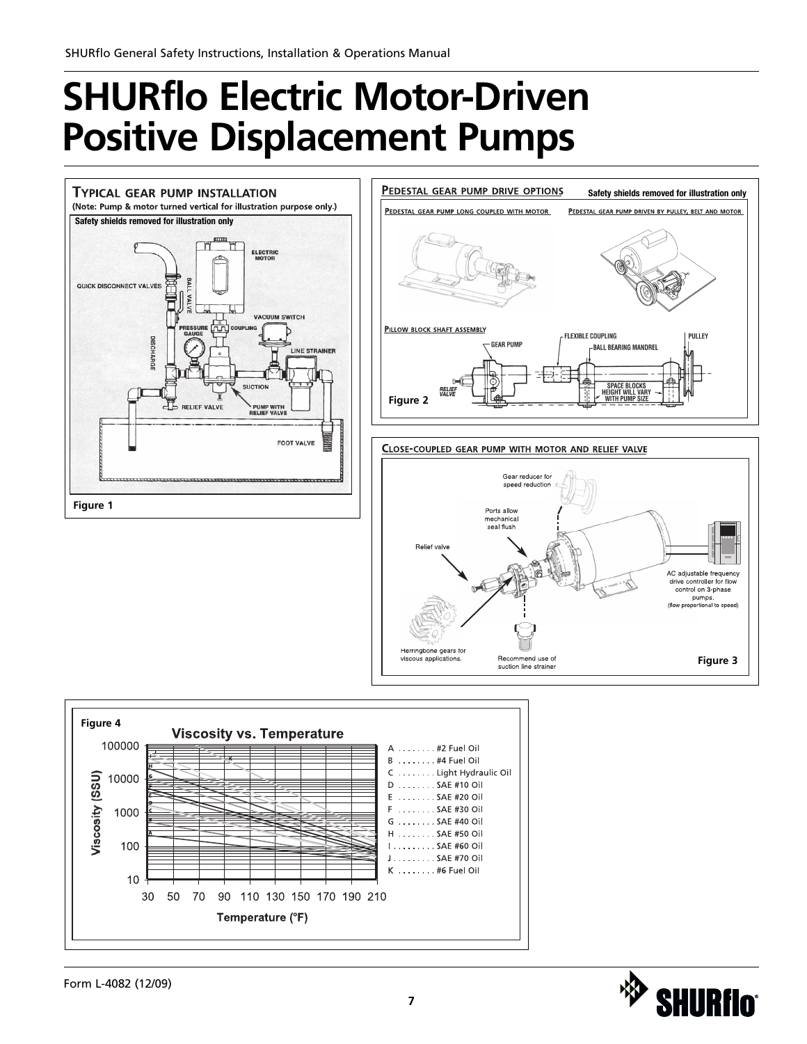



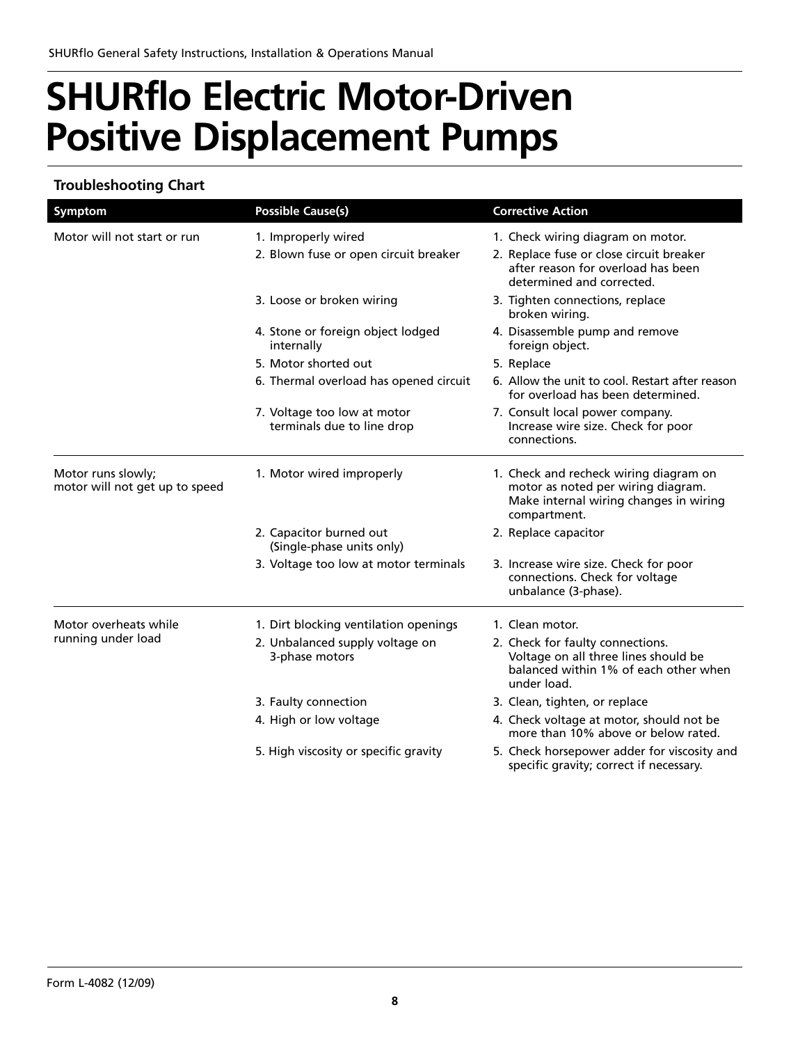### **Troubleshooting Chart**

| <b>Symptom</b>                                       | <b>Possible Cause(s)</b>                                  | <b>Corrective Action</b>                                                                                                               |  |  |
|------------------------------------------------------|-----------------------------------------------------------|----------------------------------------------------------------------------------------------------------------------------------------|--|--|
| Motor will not start or run                          | 1. Improperly wired                                       | 1. Check wiring diagram on motor.                                                                                                      |  |  |
|                                                      | 2. Blown fuse or open circuit breaker                     | 2. Replace fuse or close circuit breaker<br>after reason for overload has been<br>determined and corrected.                            |  |  |
|                                                      | 3. Loose or broken wiring                                 | 3. Tighten connections, replace<br>broken wiring.                                                                                      |  |  |
|                                                      | 4. Stone or foreign object lodged<br>internally           | 4. Disassemble pump and remove<br>foreign object.                                                                                      |  |  |
|                                                      | 5. Motor shorted out                                      | 5. Replace                                                                                                                             |  |  |
|                                                      | 6. Thermal overload has opened circuit                    | 6. Allow the unit to cool. Restart after reason<br>for overload has been determined.                                                   |  |  |
|                                                      | 7. Voltage too low at motor<br>terminals due to line drop | 7. Consult local power company.<br>Increase wire size. Check for poor<br>connections.                                                  |  |  |
| Motor runs slowly;<br>motor will not get up to speed | 1. Motor wired improperly                                 | 1. Check and recheck wiring diagram on<br>motor as noted per wiring diagram.<br>Make internal wiring changes in wiring<br>compartment. |  |  |
|                                                      | 2. Capacitor burned out<br>(Single-phase units only)      | 2. Replace capacitor                                                                                                                   |  |  |
|                                                      | 3. Voltage too low at motor terminals                     | 3. Increase wire size. Check for poor<br>connections. Check for voltage<br>unbalance (3-phase).                                        |  |  |
| Motor overheats while                                | 1. Dirt blocking ventilation openings                     | 1. Clean motor.                                                                                                                        |  |  |
| running under load                                   | 2. Unbalanced supply voltage on<br>3-phase motors         | 2. Check for faulty connections.<br>Voltage on all three lines should be<br>balanced within 1% of each other when<br>under load.       |  |  |
|                                                      | 3. Faulty connection                                      | 3. Clean, tighten, or replace                                                                                                          |  |  |
|                                                      | 4. High or low voltage                                    | 4. Check voltage at motor, should not be<br>more than 10% above or below rated.                                                        |  |  |
|                                                      | 5. High viscosity or specific gravity                     | 5. Check horsepower adder for viscosity and<br>specific gravity; correct if necessary.                                                 |  |  |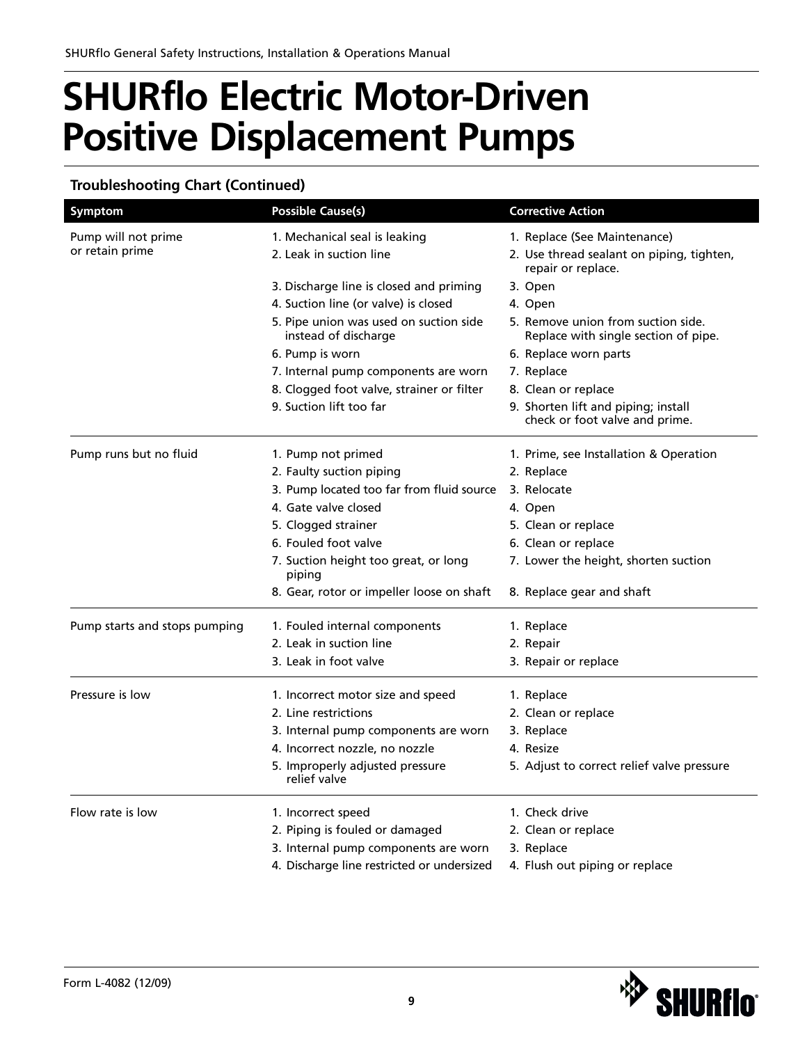### **Troubleshooting Chart (Continued)**

| Symptom                       | <b>Possible Cause(s)</b>                                       | <b>Corrective Action</b>                                                   |  |  |
|-------------------------------|----------------------------------------------------------------|----------------------------------------------------------------------------|--|--|
| Pump will not prime           | 1. Mechanical seal is leaking                                  | 1. Replace (See Maintenance)                                               |  |  |
| or retain prime               | 2. Leak in suction line                                        | 2. Use thread sealant on piping, tighten,<br>repair or replace.            |  |  |
|                               | 3. Discharge line is closed and priming                        | 3. Open                                                                    |  |  |
|                               | 4. Suction line (or valve) is closed                           | 4. Open                                                                    |  |  |
|                               | 5. Pipe union was used on suction side<br>instead of discharge | 5. Remove union from suction side.<br>Replace with single section of pipe. |  |  |
|                               | 6. Pump is worn                                                | 6. Replace worn parts                                                      |  |  |
|                               | 7. Internal pump components are worn                           | 7. Replace                                                                 |  |  |
|                               | 8. Clogged foot valve, strainer or filter                      | 8. Clean or replace                                                        |  |  |
|                               | 9. Suction lift too far                                        | 9. Shorten lift and piping; install<br>check or foot valve and prime.      |  |  |
| Pump runs but no fluid        | 1. Pump not primed                                             | 1. Prime, see Installation & Operation                                     |  |  |
|                               | 2. Faulty suction piping                                       | 2. Replace                                                                 |  |  |
|                               | 3. Pump located too far from fluid source                      | 3. Relocate                                                                |  |  |
|                               | 4. Gate valve closed                                           | 4. Open                                                                    |  |  |
|                               | 5. Clogged strainer                                            | 5. Clean or replace                                                        |  |  |
|                               | 6. Fouled foot valve                                           | 6. Clean or replace                                                        |  |  |
|                               | 7. Suction height too great, or long<br>piping                 | 7. Lower the height, shorten suction                                       |  |  |
|                               | 8. Gear, rotor or impeller loose on shaft                      | 8. Replace gear and shaft                                                  |  |  |
| Pump starts and stops pumping | 1. Fouled internal components                                  | 1. Replace                                                                 |  |  |
|                               | 2. Leak in suction line                                        | 2. Repair                                                                  |  |  |
|                               | 3. Leak in foot valve                                          | 3. Repair or replace                                                       |  |  |
| Pressure is low               | 1. Incorrect motor size and speed                              | 1. Replace                                                                 |  |  |
|                               | 2. Line restrictions                                           | 2. Clean or replace                                                        |  |  |
|                               | 3. Internal pump components are worn                           | 3. Replace                                                                 |  |  |
|                               | 4. Incorrect nozzle, no nozzle                                 | 4. Resize                                                                  |  |  |
|                               | 5. Improperly adjusted pressure<br>relief valve                | 5. Adjust to correct relief valve pressure                                 |  |  |
| Flow rate is low              | 1. Incorrect speed                                             | 1. Check drive                                                             |  |  |
|                               | 2. Piping is fouled or damaged                                 | 2. Clean or replace                                                        |  |  |
|                               | 3. Internal pump components are worn                           | 3. Replace                                                                 |  |  |
|                               | 4. Discharge line restricted or undersized                     | 4. Flush out piping or replace                                             |  |  |

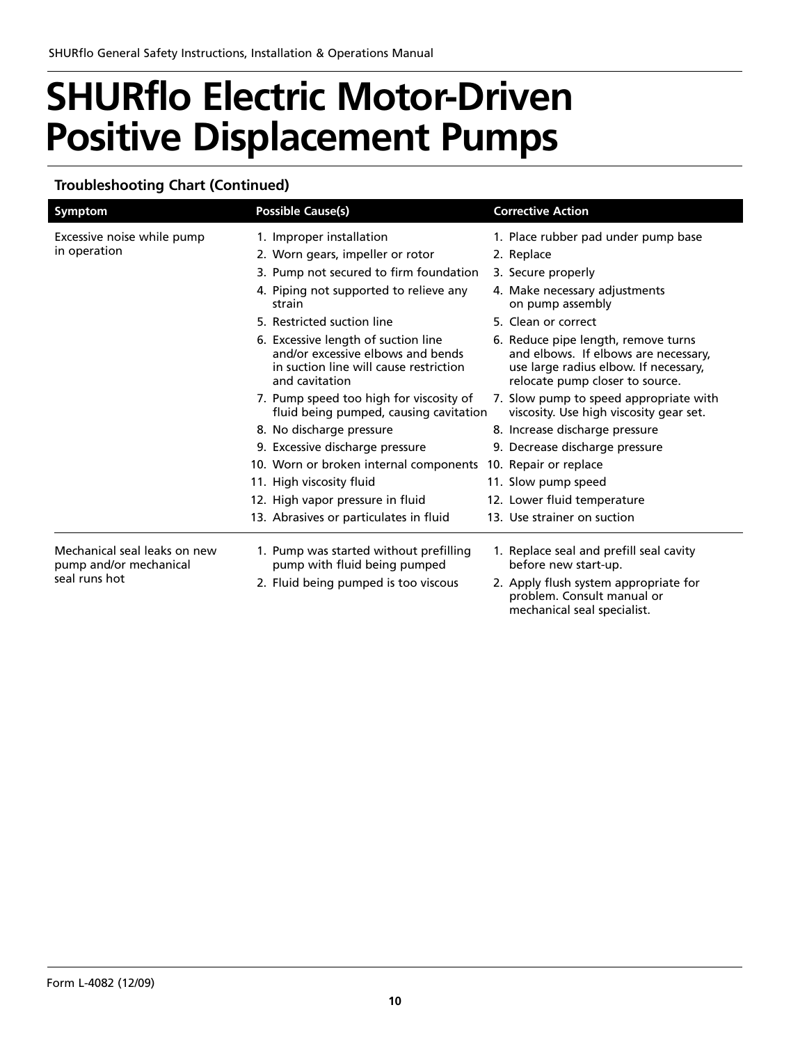### **Troubleshooting Chart (Continued)**

| <b>Symptom</b>                                         |  | <b>Possible Cause(s)</b>                                                                                                             | <b>Corrective Action</b>                                                                                                                                |
|--------------------------------------------------------|--|--------------------------------------------------------------------------------------------------------------------------------------|---------------------------------------------------------------------------------------------------------------------------------------------------------|
| Excessive noise while pump                             |  | 1. Improper installation                                                                                                             | 1. Place rubber pad under pump base                                                                                                                     |
| in operation                                           |  | 2. Worn gears, impeller or rotor                                                                                                     | 2. Replace                                                                                                                                              |
|                                                        |  | 3. Pump not secured to firm foundation                                                                                               | 3. Secure properly                                                                                                                                      |
|                                                        |  | 4. Piping not supported to relieve any<br>strain                                                                                     | 4. Make necessary adjustments<br>on pump assembly                                                                                                       |
|                                                        |  | 5. Restricted suction line                                                                                                           | 5. Clean or correct                                                                                                                                     |
|                                                        |  | 6. Excessive length of suction line<br>and/or excessive elbows and bends<br>in suction line will cause restriction<br>and cavitation | 6. Reduce pipe length, remove turns<br>and elbows. If elbows are necessary,<br>use large radius elbow. If necessary,<br>relocate pump closer to source. |
|                                                        |  | 7. Pump speed too high for viscosity of<br>fluid being pumped, causing cavitation                                                    | 7. Slow pump to speed appropriate with<br>viscosity. Use high viscosity gear set.                                                                       |
|                                                        |  | 8. No discharge pressure                                                                                                             | 8. Increase discharge pressure                                                                                                                          |
|                                                        |  | 9. Excessive discharge pressure                                                                                                      | 9. Decrease discharge pressure                                                                                                                          |
|                                                        |  | 10. Worn or broken internal components 10. Repair or replace                                                                         |                                                                                                                                                         |
|                                                        |  | 11. High viscosity fluid                                                                                                             | 11. Slow pump speed                                                                                                                                     |
|                                                        |  | 12. High vapor pressure in fluid                                                                                                     | 12. Lower fluid temperature                                                                                                                             |
|                                                        |  | 13. Abrasives or particulates in fluid                                                                                               | 13. Use strainer on suction                                                                                                                             |
| Mechanical seal leaks on new<br>pump and/or mechanical |  | 1. Pump was started without prefilling<br>pump with fluid being pumped                                                               | 1. Replace seal and prefill seal cavity<br>before new start-up.                                                                                         |
| seal runs hot                                          |  | 2. Fluid being pumped is too viscous                                                                                                 | 2. Apply flush system appropriate for<br>problem. Consult manual or<br>mechanical seal specialist.                                                      |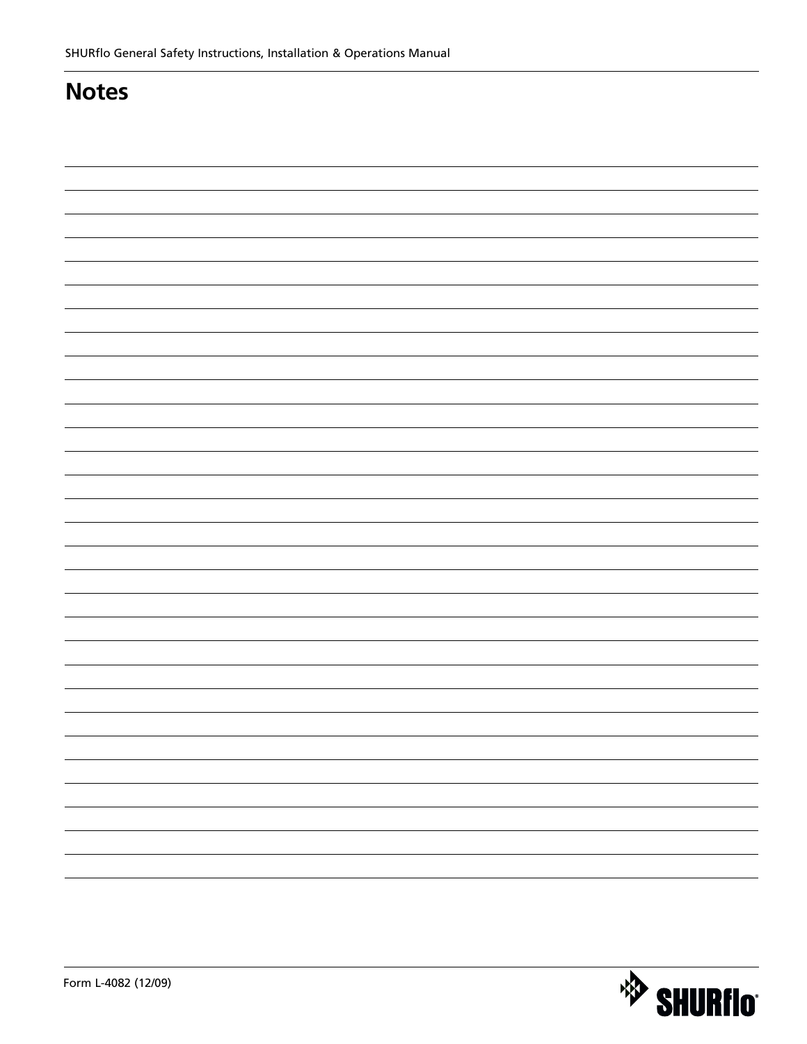### **Notes**